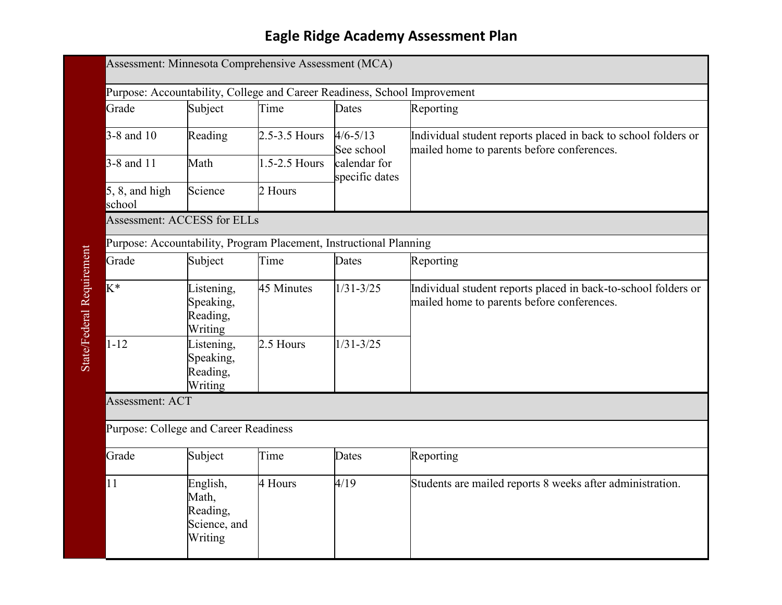## **Eagle Ridge Academy Assessment Plan**

| Assessment: Minnesota Comprehensive Assessment (MCA)                      |                                                          |               |                                                              |                                                                                                              |  |  |  |  |
|---------------------------------------------------------------------------|----------------------------------------------------------|---------------|--------------------------------------------------------------|--------------------------------------------------------------------------------------------------------------|--|--|--|--|
| Purpose: Accountability, College and Career Readiness, School Improvement |                                                          |               |                                                              |                                                                                                              |  |  |  |  |
| Grade                                                                     | Subject                                                  | Time          | Dates                                                        | Reporting                                                                                                    |  |  |  |  |
| 3-8 and 10                                                                | Reading                                                  | 2.5-3.5 Hours | $4/6 - 5/13$<br>See school<br>calendar for<br>specific dates | Individual student reports placed in back to school folders or<br>mailed home to parents before conferences. |  |  |  |  |
| 3-8 and 11                                                                | Math                                                     | 1.5-2.5 Hours |                                                              |                                                                                                              |  |  |  |  |
| $5, 8$ , and high<br>school                                               | Science                                                  | 2 Hours       |                                                              |                                                                                                              |  |  |  |  |
| Assessment: ACCESS for ELLs                                               |                                                          |               |                                                              |                                                                                                              |  |  |  |  |
| Purpose: Accountability, Program Placement, Instructional Planning        |                                                          |               |                                                              |                                                                                                              |  |  |  |  |
| Grade                                                                     | Subject                                                  | Time          | Dates                                                        | Reporting                                                                                                    |  |  |  |  |
| $K^*$                                                                     | Listening,<br>Speaking,<br>Reading,<br>Writing           | 45 Minutes    | $1/31 - 3/25$                                                | Individual student reports placed in back-to-school folders or<br>mailed home to parents before conferences. |  |  |  |  |
| $1 - 12$                                                                  | Listening,<br>Speaking,<br>Reading,<br>Writing           | 2.5 Hours     | $1/31 - 3/25$                                                |                                                                                                              |  |  |  |  |
|                                                                           | Assessment: ACT                                          |               |                                                              |                                                                                                              |  |  |  |  |
| Purpose: College and Career Readiness                                     |                                                          |               |                                                              |                                                                                                              |  |  |  |  |
| Grade                                                                     | Subject                                                  | Time          | Dates                                                        | Reporting                                                                                                    |  |  |  |  |
| 11                                                                        | English,<br>Math,<br>Reading,<br>Science, and<br>Writing | 4 Hours       | 4/19                                                         | Students are mailed reports 8 weeks after administration.                                                    |  |  |  |  |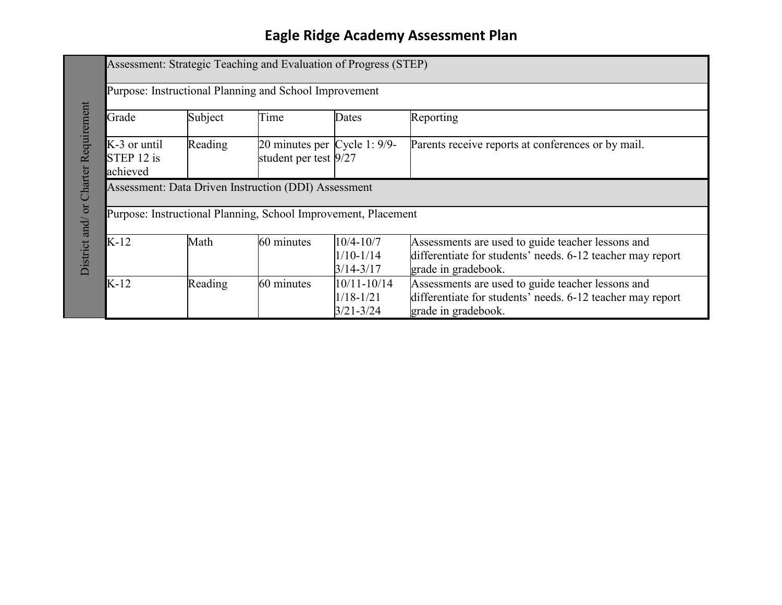## **Eagle Ridge Academy Assessment Plan**

|                                      | Assessment: Strategic Teaching and Evaluation of Progress (STEP) |         |                                                       |                                                   |                                                                                                                                        |  |  |  |
|--------------------------------------|------------------------------------------------------------------|---------|-------------------------------------------------------|---------------------------------------------------|----------------------------------------------------------------------------------------------------------------------------------------|--|--|--|
| District and/ or Charter Requirement | Purpose: Instructional Planning and School Improvement           |         |                                                       |                                                   |                                                                                                                                        |  |  |  |
|                                      | Grade                                                            | Subject | Time                                                  | Dates                                             | Reporting                                                                                                                              |  |  |  |
|                                      | K-3 or until<br>STEP 12 is<br>achieved                           | Reading | 20 minutes per Cycle 1: 9/9-<br>student per test 9/27 |                                                   | Parents receive reports at conferences or by mail.                                                                                     |  |  |  |
|                                      | Assessment: Data Driven Instruction (DDI) Assessment             |         |                                                       |                                                   |                                                                                                                                        |  |  |  |
|                                      | Purpose: Instructional Planning, School Improvement, Placement   |         |                                                       |                                                   |                                                                                                                                        |  |  |  |
|                                      | $K-12$                                                           | Math    | 60 minutes                                            | $10/4 - 10/7$<br>$1/10 - 1/14$<br>$3/14 - 3/17$   | Assessments are used to guide teacher lessons and<br>differentiate for students' needs. 6-12 teacher may report<br>grade in gradebook. |  |  |  |
|                                      | $K-12$                                                           | Reading | 60 minutes                                            | $10/11 - 10/14$<br>$1/18 - 1/21$<br>$3/21 - 3/24$ | Assessments are used to guide teacher lessons and<br>differentiate for students' needs. 6-12 teacher may report<br>grade in gradebook. |  |  |  |